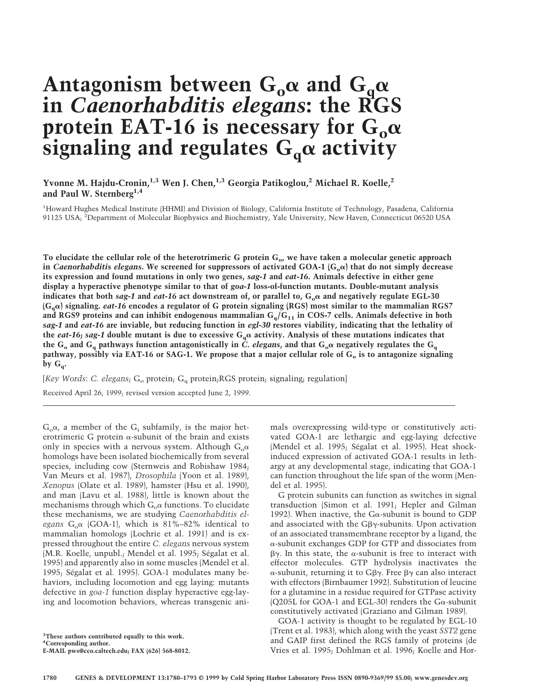# Antagonism between  $G_0\alpha$  and  $G_\alpha\alpha$ **in** *Caenorhabditis elegans***: the RGS** protein EAT-16 is necessary for  $G_0\alpha$  $\overline{\textbf{s}}$ ignaling and regulates  $\textbf{G}_{\textbf{q}}\alpha$  activity

# Yvonne M. Hajdu-Cronin,<sup>1,3</sup> Wen J. Chen,<sup>1,3</sup> Georgia Patikoglou,<sup>2</sup> Michael R. Koelle,<sup>2</sup> **and Paul W. Sternberg1,4**

<sup>1</sup>Howard Hughes Medical Institute (HHMI) and Division of Biology, California Institute of Technology, Pasadena, California 91125 USA; <sup>2</sup>Department of Molecular Biophysics and Biochemistry, Yale University, New Haven, Connecticut 06520 USA

**To elucidate the cellular role of the heterotrimeric G protein Go, we have taken a molecular genetic approach** in *Caenorhabditis elegans***.** We screened for suppressors of activated GOA-1 ( $G_0\alpha$ ) that do not simply decrease **its expression and found mutations in only two genes,** *sag-1* **and** *eat-16***. Animals defective in either gene display a hyperactive phenotype similar to that of** *goa-1* **loss-of-function mutants. Double-mutant analysis** indicates that both *sag-1* and *eat-16* act downstream of, or parallel to,  $G_0\alpha$  and negatively regulate EGL-30 **(Gq**a**) signaling.** *eat-16* **encodes a regulator of G protein signaling (RGS) most similar to the mammalian RGS7 and RGS9 proteins and can inhibit endogenous mammalian Gq/G11 in COS-7 cells. Animals defective in both** *sag-1* **and** *eat-16* **are inviable, but reducing function in** *egl-30* **restores viability, indicating that the lethality of** the *eat-16*; *sag-1* double mutant is due to excessive  $G_q\alpha$  activity. Analysis of these mutations indicates that the G<sub>o</sub> and G<sub>q</sub> pathways function antagonistically in *C. elegans*, and that G<sub>o</sub> $\alpha$  negatively regulates the G<sub>q</sub> pathway, possibly via EAT-16 or SAG-1. We propose that a major cellular role of G<sub>o</sub> is to antagonize signaling by  $G_q$ .

[Key Words: C. elegans; G<sub>o</sub> protein; G<sub>q</sub> protein;RGS protein; signaling; regulation]

Received April 26, 1999; revised version accepted June 2, 1999.

 $G_0\alpha$ , a member of the  $G_i$  subfamily, is the major heterotrimeric G protein  $\alpha$ -subunit of the brain and exists only in species with a nervous system. Although  $G_0\alpha$ homologs have been isolated biochemically from several species, including cow (Sternweis and Robishaw 1984; Van Meurs et al. 1987), *Drosophila* (Yoon et al. 1989), *Xenopus* (Olate et al. 1989), hamster (Hsu et al. 1990), and man (Lavu et al. 1988), little is known about the mechanisms through which  $G_0\alpha$  functions. To elucidate these mechanisms, we are studying *Caenorhabditis el*egans  $G_0\alpha$  (GOA-1), which is 81%–82% identical to mammalian homologs (Lochrie et al. 1991) and is expressed throughout the entire *C. elegans* nervous system (M.R. Koelle, unpubl.; Mendel et al. 1995; Ségalat et al. 1995) and apparently also in some muscles (Mendel et al. 1995; Ségalat et al. 1995). GOA-1 modulates many behaviors, including locomotion and egg laying: mutants defective in *goa-1* function display hyperactive egg-laying and locomotion behaviors, whereas transgenic ani-

**3 These authors contributed equally to this work.**

**4 Corresponding author. E-MAIL pws@cco.caltech.edu; FAX (626) 568-8012.** mals overexpressing wild-type or constitutively activated GOA-1 are lethargic and egg-laying defective (Mendel et al. 1995; Ségalat et al. 1995). Heat shockinduced expression of activated GOA-1 results in lethargy at any developmental stage, indicating that GOA-1 can function throughout the life span of the worm (Mendel et al. 1995).

G protein subunits can function as switches in signal transduction (Simon et al. 1991; Hepler and Gilman 1992). When inactive, the G $\alpha$ -subunit is bound to GDP and associated with the  $G\beta\gamma$ -subunits. Upon activation of an associated transmembrane receptor by a ligand, the a-subunit exchanges GDP for GTP and dissociates from  $\beta\gamma$ . In this state, the  $\alpha$ -subunit is free to interact with effector molecules. GTP hydrolysis inactivates the  $\alpha$ -subunit, returning it to G $\beta\gamma$ . Free  $\beta\gamma$  can also interact with effectors (Birnbaumer 1992). Substitution of leucine for a glutamine in a residue required for GTPase activity (Q205L for GOA-1 and EGL-30) renders the G $\alpha$ -subunit constitutively activated (Graziano and Gilman 1989).

GOA-1 activity is thought to be regulated by EGL-10 (Trent et al. 1983), which along with the yeast *SST2* gene and GAIP first defined the RGS family of proteins (de Vries et al. 1995; Dohlman et al. 1996; Koelle and Hor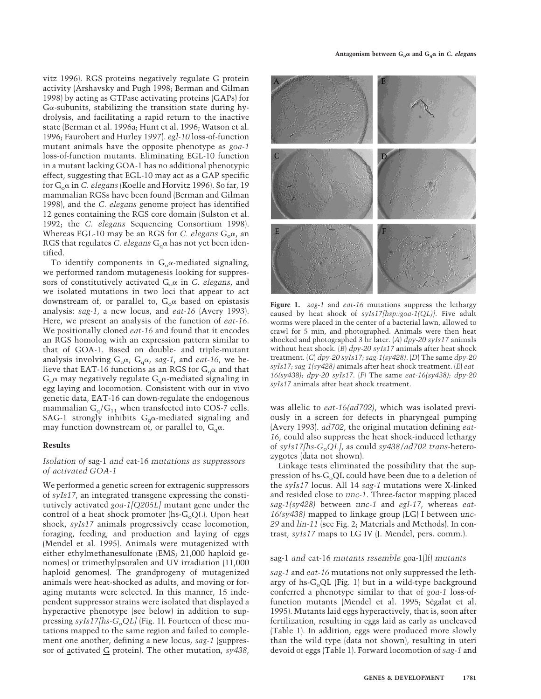vitz 1996). RGS proteins negatively regulate G protein activity (Arshavsky and Pugh 1998; Berman and Gilman 1998) by acting as GTPase activating proteins (GAPs) for  $G\alpha$ -subunits, stabilizing the transition state during hydrolysis, and facilitating a rapid return to the inactive state (Berman et al. 1996a; Hunt et al. 1996; Watson et al. 1996; Faurobert and Hurley 1997). *egl-10* loss-of-function mutant animals have the opposite phenotype as *goa-1* loss-of-function mutants. Eliminating EGL-10 function in a mutant lacking GOA-1 has no additional phenotypic effect, suggesting that EGL-10 may act as a GAP specific for Goa in *C. elegans* (Koelle and Horvitz 1996). So far, 19 mammalian RGSs have been found (Berman and Gilman 1998), and the *C. elegans* genome project has identified 12 genes containing the RGS core domain (Sulston et al. 1992; the *C. elegans* Sequencing Consortium 1998). Whereas EGL-10 may be an RGS for *C. elegans*  $G_0\alpha$ , an RGS that regulates *C. elegans*  $G_a\alpha$  has not yet been identified.

To identify components in  $G_0\alpha$ -mediated signaling, we performed random mutagenesis looking for suppressors of constitutively activated  $G_0\alpha$  in *C. elegans*, and we isolated mutations in two loci that appear to act downstream of, or parallel to,  $G_0\alpha$  based on epistasis analysis: *sag-1*, a new locus, and *eat-16* (Avery 1993). Here, we present an analysis of the function of *eat-16*. We positionally cloned *eat-16* and found that it encodes an RGS homolog with an expression pattern similar to that of GOA-1. Based on double- and triple-mutant analysis involving  $G_0\alpha$ ,  $G_q\alpha$ , *sag-1*, and *eat-16*, we believe that EAT-16 functions as an RGS for  $G_q\alpha$  and that  $G_0\alpha$  may negatively regulate  $G_a\alpha$ -mediated signaling in egg laying and locomotion. Consistent with our in vivo genetic data, EAT-16 can down-regulate the endogenous mammalian  $G_q/G_{11}$  when transfected into COS-7 cells. SAG-1 strongly inhibits  $G_q\alpha$ -mediated signaling and may function downstream of, or parallel to,  $G_a\alpha$ .

# **Results**

# *Isolation of* sag-1 *and* eat-16 *mutations as suppressors of activated GOA-1*

We performed a genetic screen for extragenic suppressors of *syIs17*, an integrated transgene expressing the constitutively activated *goa-1[Q205L]* mutant gene under the control of a heat shock promoter  $(hs-G<sub>o</sub>QL)$ . Upon heat shock, *syIs17* animals progressively cease locomotion, foraging, feeding, and production and laying of eggs (Mendel et al. 1995). Animals were mutagenized with either ethylmethanesulfonate (EMS; 21,000 haploid genomes) or trimethylpsoralen and UV irradiation (11,000 haploid genomes). The grandprogeny of mutagenized animals were heat-shocked as adults, and moving or foraging mutants were selected. In this manner, 15 independent suppressor strains were isolated that displayed a hyperactive phenotype (see below) in addition to suppressing *syIs17*[hs-G<sub>o</sub>QL] (Fig. 1). Fourteen of these mutations mapped to the same region and failed to complement one another, defining a new locus, *sag-1* (suppressor of activated G protein). The other mutation, *sy438*,



**Figure 1.** *sag-1* and *eat-16* mutations suppress the lethargy caused by heat shock of *syIs17[hsp::goa-1(QL)]*. Five adult worms were placed in the center of a bacterial lawn, allowed to crawl for 5 min, and photographed. Animals were then heat shocked and photographed 3 hr later. (*A*) *dpy-20 syIs17* animals without heat shock. (*B*) *dpy-20 syIs17* animals after heat shock treatment. (*C*) *dpy-20 syIs17; sag-1(sy428)*. (*D*) The same *dpy-20 syIs17; sag-1(sy428)* animals after heat-shock treatment. (*E*) *eat-16(sy438); dpy-20 syIs17*. (*F*) The same *eat-16(sy438); dpy-20 syIs17* animals after heat shock treatment.

was allelic to *eat-16(ad702)*, which was isolated previously in a screen for defects in pharyngeal pumping (Avery 1993). *ad702*, the original mutation defining *eat-16*, could also suppress the heat shock-induced lethargy of *syIs17*[hs-G<sub>o</sub>QL], as could *sy438/ad702 trans*-heterozygotes (data not shown).

Linkage tests eliminated the possibility that the suppression of hs- $G_0QL$  could have been due to a deletion of the *syIs17* locus. All 14 *sag-1* mutations were X-linked and resided close to *unc-1*. Three-factor mapping placed *sag-1(sy428)* between *unc-1* and *egl-17*, whereas *eat-16(sy438)* mapped to linkage group (LG) I between *unc-29* and *lin-11* (see Fig. 2; Materials and Methods). In contrast, *syIs17* maps to LG IV (J. Mendel, pers. comm.).

## sag-1 *and* eat-16 *mutants resemble* goa-1(lf) *mutants*

*sag-1* and *eat-16* mutations not only suppressed the lethargy of hs- $G_{o}QL$  (Fig. 1) but in a wild-type background conferred a phenotype similar to that of *goa-1* loss-offunction mutants (Mendel et al. 1995; Ségalat et al. 1995). Mutants laid eggs hyperactively, that is, soon after fertilization, resulting in eggs laid as early as uncleaved (Table 1). In addition, eggs were produced more slowly than the wild type (data not shown), resulting in uteri devoid of eggs (Table 1). Forward locomotion of *sag-1* and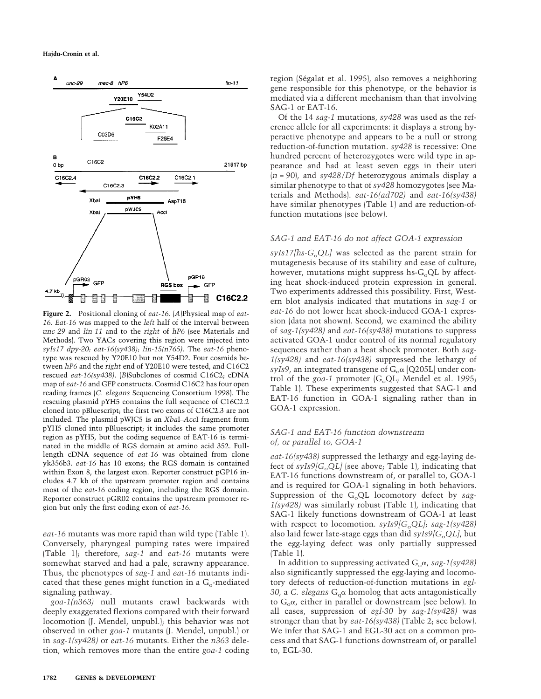

**Figure 2.** Positional cloning of *eat-16*. (*A*)Physical map of *eat-16*. *Eat-16* was mapped to the *left* half of the interval between *unc-29* and *lin-11* and to the *right* of *hP6* (see Materials and Methods). Two YACs covering this region were injected into *syIs17 dpy-20; eat-16(sy438); lin-15(n765)*. The *eat-16* phenotype was rescued by Y20E10 but not Y54D2. Four cosmids between *hP6* and the *right* end of Y20E10 were tested, and C16C2 rescued *eat-16(sy438)*. (*B*)Subclones of cosmid C16C2; cDNA map of *eat-16* and GFP constructs. Cosmid C16C2 has four open reading frames (*C. elegans* Sequencing Consortium 1998). The rescuing plasmid pYH5 contains the full sequence of C16C2.2 cloned into pBluescript; the first two exons of C16C2.3 are not included. The plasmid pWJC5 is an *Xba*I–*Acc*I fragment from pYH5 cloned into pBluescript; it includes the same promoter region as pYH5, but the coding sequence of EAT-16 is terminated in the middle of RGS domain at amino acid 352. Fulllength cDNA sequence of *eat-16* was obtained from clone yk356b3. *eat-16* has 10 exons; the RGS domain is contained within Exon 8, the largest exon. Reporter construct pGP16 includes 4.7 kb of the upstream promoter region and contains most of the *eat-16* coding region, including the RGS domain. Reporter construct pGR02 contains the upstream promoter region but only the first coding exon of *eat-16*.

*eat-16* mutants was more rapid than wild type (Table 1). Conversely, pharyngeal pumping rates were impaired (Table 1); therefore, *sag-1* and *eat-16* mutants were somewhat starved and had a pale, scrawny appearance. Thus, the phenotypes of *sag-1* and *eat-16* mutants indicated that these genes might function in a  $G_0$ -mediated signaling pathway.

*goa-1(n363)* null mutants crawl backwards with deeply exaggerated flexions compared with their forward locomotion (J. Mendel, unpubl.); this behavior was not observed in other *goa-1* mutants (J. Mendel, unpubl.) or in *sag-1(sy428)* or *eat-16* mutants. Either the *n363* deletion, which removes more than the entire *goa-1* coding

region (Ségalat et al. 1995), also removes a neighboring gene responsible for this phenotype, or the behavior is mediated via a different mechanism than that involving SAG-1 or EAT-16.

Of the 14 *sag-1* mutations, *sy428* was used as the reference allele for all experiments: it displays a strong hyperactive phenotype and appears to be a null or strong reduction-of-function mutation. *sy428* is recessive: One hundred percent of heterozygotes were wild type in appearance and had at least seven eggs in their uteri (*n* = 90), and *sy428/Df* heterozygous animals display a similar phenotype to that of *sy428* homozygotes (see Materials and Methods). *eat-16(ad702)* and *eat-16(sy438)* have similar phenotypes (Table 1) and are reduction-offunction mutations (see below).

# *SAG-1 and EAT-16 do not affect GOA-1 expression*

 $syls17/hs-G<sub>o</sub>QL$  was selected as the parent strain for mutagenesis because of its stability and ease of culture; however, mutations might suppress hs- $G_0QL$  by affecting heat shock-induced protein expression in general. Two experiments addressed this possibility. First, Western blot analysis indicated that mutations in *sag-1* or *eat-16* do not lower heat shock-induced GOA-1 expression (data not shown). Second, we examined the ability of *sag-1(sy428)* and *eat-16(sy438)* mutations to suppress activated GOA-1 under control of its normal regulatory sequences rather than a heat shock promoter. Both *sag-1(sy428)* and *eat-16(sy438)* suppressed the lethargy of *syIs9*, an integrated transgene of  $G_0 \alpha$  [Q205L] under control of the *goa-1* promoter  $(G_0QL_i)$  Mendel et al. 1995; Table 1). These experiments suggested that SAG-1 and EAT-16 function in GOA-1 signaling rather than in GOA-1 expression.

# *SAG-1 and EAT-16 function downstream of, or parallel to, GOA-1*

*eat-16(sy438)* suppressed the lethargy and egg-laying defect of  $syls9/G_0QL$  (see above; Table 1), indicating that EAT-16 functions downstream of, or parallel to, GOA-1 and is required for GOA-1 signaling in both behaviors. Suppression of the  $G_0QL$  locomotory defect by *sag*-*1(sy428)* was similarly robust (Table 1), indicating that SAG-1 likely functions downstream of GOA-1 at least with respect to locomotion. *syIs9[G<sub>o</sub>QL]*; *sag-1(sy428)* also laid fewer late-stage eggs than did *syIs9[G<sub>o</sub>QL]*, but the egg-laying defect was only partially suppressed (Table 1).

In addition to suppressing activated  $G_0\alpha$ , *sag-1(sy428)* also significantly suppressed the egg-laying and locomotory defects of reduction-of-function mutations in *egl-30*, a *C. elegans*  $G_q\alpha$  homolog that acts antagonistically to  $G_0\alpha$ , either in parallel or downstream (see below). In all cases, suppression of *egl-30* by *sag-1(sy428)* was stronger than that by *eat-16(sy438)* (Table 2; see below). We infer that SAG-1 and EGL-30 act on a common process and that SAG-1 functions downstream of, or parallel to, EGL-30.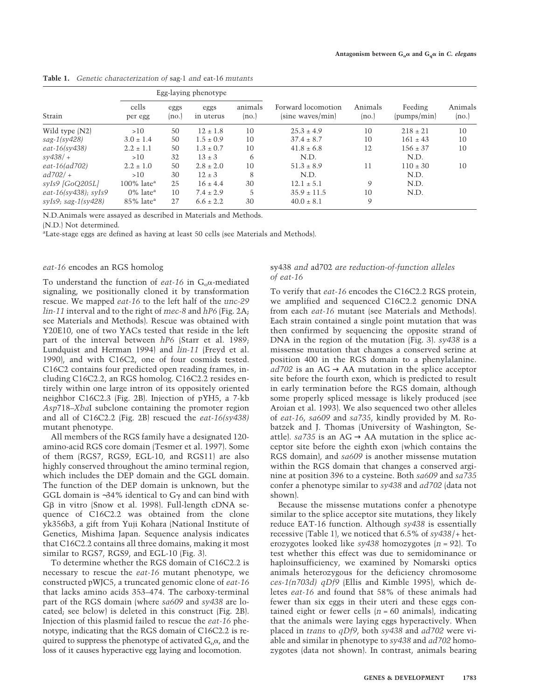| Strain                       | Egg-laying phenotype      |               |                   |                  |                                        |                  |                        |                  |
|------------------------------|---------------------------|---------------|-------------------|------------------|----------------------------------------|------------------|------------------------|------------------|
|                              | cells<br>per egg          | eggs<br>(no.) | eggs<br>in uterus | animals<br>(no.) | Forward locomotion<br>(sine waves/min) | Animals<br>(no.) | Feeding<br>(pumps/min) | Animals<br>(no.) |
| Wild type (N2)               | >10                       | 50            | $12 \pm 1.8$      | 10               | $25.3 \pm 4.9$                         | 10               | $218 \pm 21$           | 10               |
| $s$ ag-1(sy428)              | $3.0 \pm 1.4$             | 50            | $1.5 \pm 0.9$     | 10               | $37.4 \pm 8.7$                         | 10               | $161 \pm 43$           | 10               |
| $eat-16$ (sy438)             | $2.2 \pm 1.1$             | 50            | $1.3 \pm 0.7$     | 10               | $41.8 \pm 6.8$                         | 12               | $156 \pm 37$           | 10               |
| $s\gamma 438/ +$             | >10                       | 32            | $13 \pm 3$        | 6                | N.D.                                   |                  | N.D.                   |                  |
| $eat-16(ad702)$              | $2.2 \pm 1.0$             | 50            | $2.8 \pm 2.0$     | 10               | $51.3 \pm 8.9$                         | 11               | $110 \pm 30$           | 10               |
| $ad702/ +$                   | >10                       | 30            | $12 \pm 3$        | 8                | N.D.                                   |                  | N.D.                   |                  |
| $syls9$ [GoQ205L]            | $100\%$ late <sup>a</sup> | 25            | $16 \pm 4.4$      | 30               | $12.1 \pm 5.1$                         | 9                | N.D.                   |                  |
| eat- $16$ (sy $438$ ); syIs9 | $0\%$ late <sup>a</sup>   | 10            | $7.4 \pm 2.9$     | 5                | $35.9 \pm 11.5$                        | 10               | N.D.                   |                  |
| $syls9$ ; sag- $1(sy428)$    | $85\%$ late <sup>a</sup>  | 27            | $6.6 \pm 2.2$     | 30               | $40.0 \pm 8.1$                         | 9                |                        |                  |

**Table 1.** *Genetic characterization of* sag-1 *and* eat-16 *mutants*

N.D.Animals were assayed as described in Materials and Methods.

(N.D.) Not determined.

<sup>a</sup>Late-stage eggs are defined as having at least 50 cells (see Materials and Methods).

## *eat-16* encodes an RGS homolog

To understand the function of *eat-16* in  $G_0\alpha$ -mediated signaling, we positionally cloned it by transformation rescue. We mapped *eat-16* to the left half of the *unc-29 lin-11* interval and to the right of *mec-8* and *hP6* (Fig. 2A; see Materials and Methods). Rescue was obtained with Y20E10, one of two YACs tested that reside in the left part of the interval between *hP6* (Starr et al. 1989; Lundquist and Herman 1994) and *lin-11* (Freyd et al. 1990), and with C16C2, one of four cosmids tested. C16C2 contains four predicted open reading frames, including C16C2.2, an RGS homolog. C16C2.2 resides entirely within one large intron of its oppositely oriented neighbor C16C2.3 (Fig. 2B). Injection of pYH5, a 7-kb *Asp*718–*Xba*I subclone containing the promoter region and all of C16C2.2 (Fig. 2B) rescued the *eat-16(sy438)* mutant phenotype.

All members of the RGS family have a designated 120 amino-acid RGS core domain (Tesmer et al. 1997). Some of them (RGS7, RGS9, EGL-10, and RGS11) are also highly conserved throughout the amino terminal region, which includes the DEP domain and the GGL domain. The function of the DEP domain is unknown, but the GGL domain is ~34% identical to G $\gamma$  and can bind with G $\beta$  in vitro (Snow et al. 1998). Full-length cDNA sequence of C16C2.2 was obtained from the clone yk356b3, a gift from Yuji Kohara (National Institute of Genetics, Mishima Japan. Sequence analysis indicates that C16C2.2 contains all three domains, making it most similar to RGS7, RGS9, and EGL-10 (Fig. 3).

To determine whether the RGS domain of C16C2.2 is necessary to rescue the *eat-16* mutant phenotype, we constructed pWJC5, a truncated genomic clone of *eat-16* that lacks amino acids 353–474. The carboxy-terminal part of the RGS domain (where *sa609* and *sy438* are located; see below) is deleted in this construct (Fig. 2B). Injection of this plasmid failed to rescue the *eat-16* phenotype, indicating that the RGS domain of C16C2.2 is required to suppress the phenotype of activated  $G_{\alpha} \alpha$ , and the loss of it causes hyperactive egg laying and locomotion.

## sy438 *and* ad702 *are reduction-of-function alleles of eat-16*

To verify that *eat-16* encodes the C16C2.2 RGS protein, we amplified and sequenced C16C2.2 genomic DNA from each *eat-16* mutant (see Materials and Methods). Each strain contained a single point mutation that was then confirmed by sequencing the opposite strand of DNA in the region of the mutation (Fig. 3). *sy438* is a missense mutation that changes a conserved serine at position 400 in the RGS domain to a phenylalanine.  $ad702$  is an AG  $\rightarrow$  AA mutation in the splice acceptor site before the fourth exon, which is predicted to result in early termination before the RGS domain, although some properly spliced message is likely produced (see Aroian et al. 1993). We also sequenced two other alleles of *eat-16*, *sa609* and *sa735*, kindly provided by M. Robatzek and J. Thomas (University of Washington, Seattle).  $sa735$  is an AG  $\rightarrow$  AA mutation in the splice acceptor site before the eighth exon (which contains the RGS domain), and *sa609* is another missense mutation within the RGS domain that changes a conserved arginine at position 396 to a cysteine. Both *sa609* and *sa735* confer a phenotype similar to *sy438* and *ad702* (data not shown).

Because the missense mutations confer a phenotype similar to the splice acceptor site mutations, they likely reduce EAT-16 function. Although *sy438* is essentially recessive (Table 1), we noticed that 6.5% of *sy438*/+ heterozygotes looked like *sy438* homozygotes (*n* = 92). To test whether this effect was due to semidominance or haploinsufficiency, we examined by Nomarski optics animals heterozygous for the deficiency chromosome *ces-1(n703d) qDf9* (Ellis and Kimble 1995), which deletes *eat-16* and found that 58% of these animals had fewer than six eggs in their uteri and these eggs contained eight or fewer cells  $(n = 60 \text{ animals})$ , indicating that the animals were laying eggs hyperactively. When placed in *trans* to *qDf9*, both *sy438* and *ad702* were viable and similar in phenotype to *sy438* and *ad702* homozygotes (data not shown). In contrast, animals bearing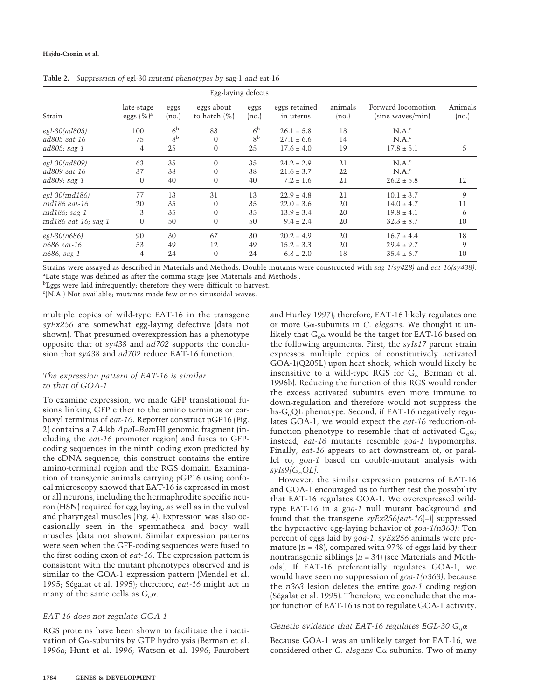| Strain              |                            |                | Egg-laying defects            |                |                            |                  |                                        |                  |
|---------------------|----------------------------|----------------|-------------------------------|----------------|----------------------------|------------------|----------------------------------------|------------------|
|                     | late-stage<br>eggs $(%)^a$ | eggs<br>(no.)  | eggs about<br>to hatch $(\%)$ | eggs<br>(no.)  | eggs retained<br>in uterus | animals<br>(no.) | Forward locomotion<br>(sine waves/min) | Animals<br>(no.) |
| egl-30(ad805)       | 100                        | 6 <sup>b</sup> | 83                            | 6 <sup>b</sup> | $26.1 \pm 5.8$             | 18               | $N.A.^c$                               |                  |
| ad805 eat-16        | 75                         | 8 <sup>b</sup> | $\theta$                      | 8 <sup>b</sup> | $27.1 \pm 6.6$             | 14               | $N.A.^c$                               |                  |
| ad805; sag-1        | 4                          | 25             | $\overline{0}$                | 25             | $17.6 \pm 4.0$             | 19               | $17.8 \pm 5.1$                         | 5                |
| egl-30(ad809)       | 63                         | 35             | $\Omega$                      | 35             | $24.2 \pm 2.9$             | 21               | $N.A.^c$                               |                  |
| ad809 eat-16        | 37                         | 38             | $\Omega$                      | 38             | $21.6 \pm 3.7$             | 22               | $N.A.^c$                               |                  |
| ad809; sag-1        | $\mathbf{0}$               | 40             | $\mathbf{0}$                  | 40             | $7.2 \pm 1.6$              | 21               | $26.2 \pm 5.8$                         | 12               |
| egl-30(md186)       | 77                         | 13             | 31                            | 13             | $22.9 \pm 4.8$             | 21               | $10.1 \pm 3.7$                         | 9                |
| md186 eat-16        | 20                         | 35             | $\Omega$                      | 35             | $22.0 \pm 3.6$             | 20               | $14.0 \pm 4.7$                         | 11               |
| md186; sag-1        | 3                          | 35             | $\Omega$                      | 35             | $13.9 \pm 3.4$             | 20               | $19.8 \pm 4.1$                         | 6                |
| md186 eat-16; sag-1 | $\mathbf{0}$               | 50             | $\mathbf{0}$                  | 50             | $9.4 \pm 2.4$              | 20               | $32.3 \pm 8.7$                         | 10               |
| $\ell$ gl-30(n686)  | 90                         | 30             | 67                            | 30             | $20.2 \pm 4.9$             | 20               | $16.7 \pm 4.4$                         | 18               |
| n686 eat-16         | 53                         | 49             | 12                            | 49             | $15.2 \pm 3.3$             | 20               | $29.4 \pm 9.7$                         | 9                |
| n686; sag-1         | 4                          | 24             | $\overline{0}$                | 24             | $6.8 \pm 2.0$              | 18               | $35.4 \pm 6.7$                         | 10               |

**Table 2.** *Suppression of* egl-30 *mutant phenotypes by* sag-1 *and* eat-16

Strains were assayed as described in Materials and Methods. Double mutants were constructed with *sag-1(sy428)* and *eat-16(sy438).* <sup>a</sup>Late stage was defined as after the comma stage (see Materials and Methods).

<sup>b</sup>Eggs were laid infrequently; therefore they were difficult to harvest.

c (N.A.) Not available; mutants made few or no sinusoidal waves.

multiple copies of wild-type EAT-16 in the transgene *syEx256* are somewhat egg-laying defective (data not shown). That presumed overexpression has a phenotype opposite that of *sy438* and *ad702* supports the conclusion that *sy438* and *ad702* reduce EAT-16 function.

# *The expression pattern of EAT-16 is similar to that of GOA-1*

To examine expression, we made GFP translational fusions linking GFP either to the amino terminus or carboxyl terminus of *eat-16*. Reporter construct pGP16 (Fig. 2) contains a 7.4-kb *Apa*I–*Bam*HI genomic fragment (including the *eat-16* promoter region) and fuses to GFPcoding sequences in the ninth coding exon predicted by the cDNA sequence; this construct contains the entire amino-terminal region and the RGS domain. Examination of transgenic animals carrying pGP16 using confocal microscopy showed that EAT-16 is expressed in most or all neurons, including the hermaphrodite specific neuron (HSN) required for egg laying, as well as in the vulval and pharyngeal muscles (Fig. 4). Expression was also occasionally seen in the spermatheca and body wall muscles (data not shown). Similar expression patterns were seen when the GFP-coding sequences were fused to the first coding exon of *eat-16*. The expression pattern is consistent with the mutant phenotypes observed and is similar to the GOA-1 expression pattern (Mendel et al. 1995; Ségalat et al. 1995); therefore, *eat-16* might act in many of the same cells as  $G_0\alpha$ .

# *EAT-16 does not regulate GOA-1*

RGS proteins have been shown to facilitate the inactivation of  $Ga$ -subunits by GTP hydrolysis (Berman et al. 1996a; Hunt et al. 1996; Watson et al. 1996; Faurobert and Hurley 1997); therefore, EAT-16 likely regulates one or more Ga-subunits in *C. elegans*. We thought it unlikely that  $G_0\alpha$  would be the target for EAT-16 based on the following arguments. First, the *syIs17* parent strain expresses multiple copies of constitutively activated GOA-1(Q205L) upon heat shock, which would likely be insensitive to a wild-type RGS for  $G_0$  (Berman et al. 1996b). Reducing the function of this RGS would render the excess activated subunits even more immune to down-regulation and therefore would not suppress the  $hs-G<sub>o</sub>QL phenotype. Second, if EAT-16 negatively regu$ lates GOA-1, we would expect the *eat-16* reduction-offunction phenotype to resemble that of activated  $G_0\alpha$ ; instead, *eat-16* mutants resemble *goa-1* hypomorphs. Finally, *eat-16* appears to act downstream of, or parallel to, *goa-1* based on double-mutant analysis with  $syls9/G_oQL$ ].

However, the similar expression patterns of EAT-16 and GOA-1 encouraged us to further test the possibility that EAT-16 regulates GOA-1. We overexpressed wildtype EAT-16 in a *goa-1* null mutant background and found that the transgene *syEx256[eat-16*(+)] suppressed the hyperactive egg-laying behavior of *goa-1(n363)*: Ten percent of eggs laid by *goa-1; syEx256* animals were premature  $(n = 48)$ , compared with 97% of eggs laid by their nontransgenic siblings (*n* = 34) (see Materials and Methods). If EAT-16 preferentially regulates GOA-1, we would have seen no suppression of *goa-1(n363)*, because the *n363* lesion deletes the entire *goa-1* coding region (Ségalat et al. 1995). Therefore, we conclude that the major function of EAT-16 is not to regulate GOA-1 activity.

# *Genetic evidence that EAT-16 regulates EGL-30*  $G_q\alpha$

Because GOA-1 was an unlikely target for EAT-16, we considered other *C. elegans* Ga-subunits. Two of many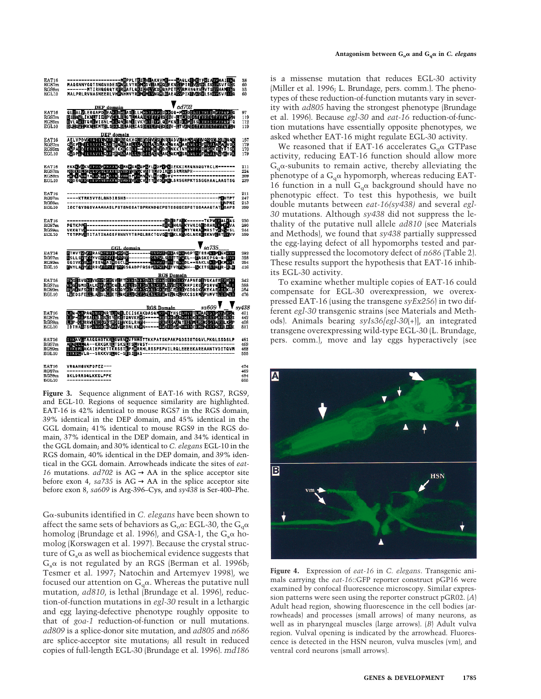



**Figure 3.** Sequence alignment of EAT-16 with RGS7, RGS9, and EGL-10. Regions of sequence similarity are highlighted. EAT-16 is 42% identical to mouse RGS7 in the RGS domain, 39% identical in the DEP domain, and 45% identical in the GGL domain; 41% identical to mouse RGS9 in the RGS domain, 37% identical in the DEP domain, and 34% identical in the GGL domain; and 30% identical to *C. elegans* EGL-10 in the RGS domain, 40% identical in the DEP domain, and 39% identical in the GGL domain. Arrowheads indicate the sites of *eat-16* mutations.  $ad702$  is  $AG \rightarrow AA$  in the splice acceptor site before exon 4,  $sa735$  is  $AG \rightarrow AA$  in the splice acceptor site before exon 8, *sa609* is Arg-396–Cys, and *sy438* is Ser-400–Phe.

Ga-subunits identified in *C. elegans* have been shown to affect the same sets of behaviors as  $G_0\alpha$ : EGL-30, the  $G_a\alpha$ homolog (Brundage et al. 1996), and GSA-1, the  $G_s\alpha$  homolog (Korswagen et al. 1997). Because the crystal structure of  $G_s\alpha$  as well as biochemical evidence suggests that  $G_s\alpha$  is not regulated by an RGS (Berman et al. 1996b; Tesmer et al. 1997; Natochin and Artemyev 1998), we focused our attention on  $G_q\alpha$ . Whereas the putative null mutation, *ad810*, is lethal (Brundage et al. 1996), reduction-of-function mutations in *egl-30* result in a lethargic and egg laying-defective phenotype roughly opposite to that of *goa-1* reduction-of-function or null mutations. *ad809* is a splice-donor site mutation, and *ad805* and *n686* are splice-acceptor site mutations; all result in reduced copies of full-length EGL-30 (Brundage et al. 1996). *md186*

is a missense mutation that reduces EGL-30 activity (Miller et al. 1996; L. Brundage, pers. comm.). The phenotypes of these reduction-of-function mutants vary in severity with *ad805* having the strongest phenotype (Brundage et al. 1996). Because *egl-30* and *eat-16* reduction-of-function mutations have essentially opposite phenotypes, we asked whether EAT-16 might regulate EGL-30 activity.

We reasoned that if EAT-16 accelerates  $G_a\alpha$  GTPase activity, reducing EAT-16 function should allow more  $G<sub>a</sub>$  $\alpha$ -subunits to remain active, thereby alleviating the phenotype of a  $G_a\alpha$  hypomorph, whereas reducing EAT-16 function in a null  $G_q\alpha$  background should have no phenotypic effect. To test this hypothesis, we built double mutants between *eat-16(sy438)* and several *egl-30* mutations. Although *sy438* did not suppress the lethality of the putative null allele *ad810* (see Materials and Methods), we found that *sy438* partially suppressed the egg-laying defect of all hypomorphs tested and partially suppressed the locomotory defect of *n686* (Table 2). These results support the hypothesis that EAT-16 inhibits EGL-30 activity.

To examine whether multiple copies of EAT-16 could compensate for EGL-30 overexpression, we overexpressed EAT-16 (using the transgene *syEx256*) in two different *egl-30* transgenic strains (see Materials and Methods). Animals bearing *syIs36[egl-30*(+)], an integrated transgene overexpressing wild-type EGL-30 (L. Brundage, pers. comm.), move and lay eggs hyperactively (see



**Figure 4.** Expression of *eat-16* in *C. elegans*. Transgenic animals carrying the *eat-16*::GFP reporter construct pGP16 were examined by confocal fluorescence microscopy. Similar expression patterns were seen using the reporter construct pGR02. (*A*) Adult head region, showing fluorescence in the cell bodies (arrowheads) and processes (small arrows) of many neurons, as well as in pharyngeal muscles (large arrows). (*B*) Adult vulva region. Vulval opening is indicated by the arrowhead. Fluorescence is detected in the HSN neuron, vulva muscles (vm), and ventral cord neurons (small arrows).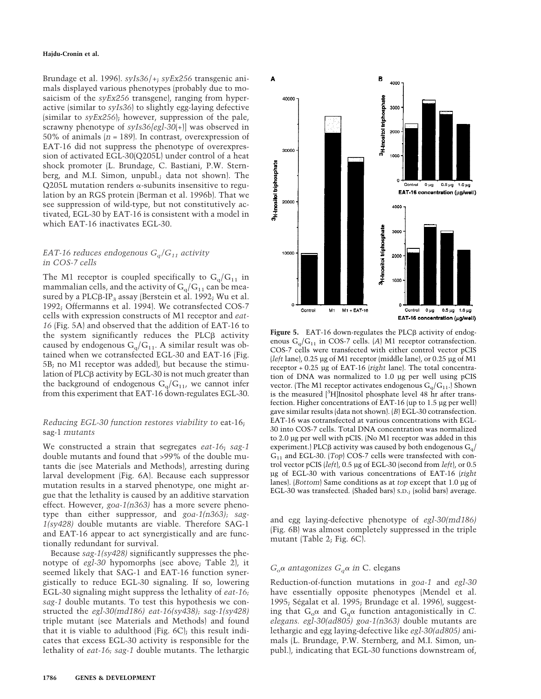Brundage et al. 1996). *syIs36*/+; *syEx256* transgenic animals displayed various phenotypes (probably due to mosaicism of the *syEx256* transgene), ranging from hyperactive (similar to *syIs36*) to slightly egg-laying defective (similar to *syEx256*); however, suppression of the pale, scrawny phenotype of *syIs36[egl-30*(+)] was observed in 50% of animals (*n* = 189). In contrast, overexpression of EAT-16 did not suppress the phenotype of overexpression of activated EGL-30(Q205L) under control of a heat shock promoter (L. Brundage, C. Bastiani, P.W. Sternberg, and M.I. Simon, unpubl.; data not shown). The  $Q205L$  mutation renders  $\alpha$ -subunits insensitive to regulation by an RGS protein (Berman et al. 1996b). That we see suppression of wild-type, but not constitutively activated, EGL-30 by EAT-16 is consistent with a model in which EAT-16 inactivates EGL-30.

## *EAT-16 reduces endogenous Gq/G11 activity in COS-7 cells*

The M1 receptor is coupled specifically to  $G_q/G_{11}$  in mammalian cells, and the activity of  $G_q/G_{11}$  can be measured by a  $PLC\beta-IP_3$  assay (Berstein et al. 1992; Wu et al. 1992; Offermanns et al. 1994). We cotransfected COS-7 cells with expression constructs of M1 receptor and *eat-16* (Fig. 5A) and observed that the addition of EAT-16 to the system significantly reduces the PLC $\beta$  activity caused by endogenous  $G_q/G_{11}$ . A similar result was obtained when we cotransfected EGL-30 and EAT-16 (Fig. 5B; no M1 receptor was added), but because the stimulation of PLC<sub>B</sub> activity by EGL-30 is not much greater than the background of endogenous  $G_q/G_{11}$ , we cannot infer from this experiment that EAT-16 down-regulates EGL-30.

# *Reducing EGL-30 function restores viability to* eat-16; sag-1 *mutants*

We constructed a strain that segregates *eat-16*; *sag-1* double mutants and found that >99% of the double mutants die (see Materials and Methods), arresting during larval development (Fig. 6A). Because each suppressor mutation results in a starved phenotype, one might argue that the lethality is caused by an additive starvation effect. However, *goa-1(n363)* has a more severe phenotype than either suppressor, and *goa-1(n363); sag-1(sy428)* double mutants are viable. Therefore SAG-1 and EAT-16 appear to act synergistically and are functionally redundant for survival.

Because *sag-1(sy428)* significantly suppresses the phenotype of *egl-30* hypomorphs (see above; Table 2), it seemed likely that SAG-1 and EAT-16 function synergistically to reduce EGL-30 signaling. If so, lowering EGL-30 signaling might suppress the lethality of *eat-16; sag-1* double mutants. To test this hypothesis we constructed the *egl-30(md186) eat-16(sy438); sag-1(sy428)* triple mutant (see Materials and Methods) and found that it is viable to adulthood (Fig. 6C); this result indicates that excess EGL-30 activity is responsible for the lethality of *eat-16; sag-1* double mutants. The lethargic



Figure 5. EAT-16 down-regulates the PLC<sub>B</sub> activity of endogenous  $G_q/G_{11}$  in COS-7 cells. (*A*) M1 receptor cotransfection. COS-7 cells were transfected with either control vector pCIS (*left* lane), 0.25 µg of M1 receptor (middle lane), or 0.25 µg of M1 receptor + 0.25 µg of EAT-16 (*right* lane). The total concentration of DNA was normalized to 1.0 µg per well using pCIS vector. (The M1 receptor activates endogenous  $G_q/G_{11}$ .) Shown is the measured [3 H]Inositol phosphate level 48 hr after transfection. Higher concentrations of EAT-16 (up to 1.5 µg per well) gave similar results (data not shown). (*B*) EGL-30 cotransfection. EAT-16 was cotransfected at various concentrations with EGL-30 into COS-7 cells. Total DNA concentration was normalized to 2.0 µg per well with pCIS. (No M1 receptor was added in this experiment.) PLC $\beta$  activity was caused by both endogenous  $G_q$ G<sub>11</sub> and EGL-30. (*Top*) COS-7 cells were transfected with control vector pCIS (*left*), 0.5 µg of EGL-30 (second from *left*), or 0.5 µg of EGL-30 with various concentrations of EAT-16 (*right* lanes). (*Bottom*) Same conditions as at *top* except that 1.0 µg of EGL-30 was transfected. (Shaded bars) S.D.; (solid bars) average.

and egg laying-defective phenotype of *egl-30(md186)* (Fig. 6B) was almost completely suppressed in the triple mutant (Table 2; Fig. 6C).

# $G_0\alpha$  *antagonizes*  $G_q\alpha$  *in* C. elegans

Reduction-of-function mutations in *goa-1* and *egl-30* have essentially opposite phenotypes (Mendel et al. 1995; Ségalat et al. 1995; Brundage et al. 1996), suggesting that  $G_0\alpha$  and  $G_q\alpha$  function antagonistically in *C*. *elegans. egl-30(ad805) goa-1(n363)* double mutants are lethargic and egg laying-defective like *egl-30(ad805)* animals (L. Brundage, P.W. Sternberg, and M.I. Simon, unpubl.), indicating that EGL-30 functions downstream of,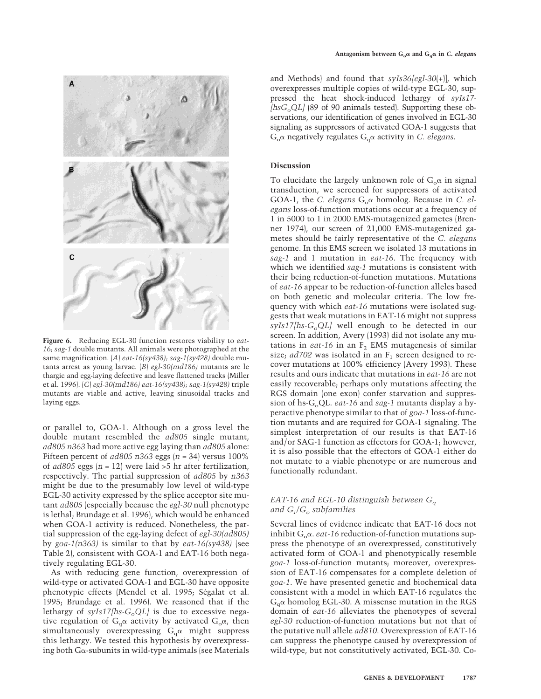

**Figure 6.** Reducing EGL-30 function restores viability to *eat-16; sag-1* double mutants. All animals were photographed at the same magnification. (*A*) *eat-16(sy438); sag-1(sy428)* double mutants arrest as young larvae. (*B*) *egl-30(md186)* mutants are le thargic and egg-laying defective and leave flattened tracks (Miller et al. 1996). (*C*) *egl-30(md186) eat-16(sy438); sag-1(sy428)* triple mutants are viable and active, leaving sinusoidal tracks and laying eggs.

or parallel to, GOA-1. Although on a gross level the double mutant resembled the *ad805* single mutant, *ad805 n363* had more active egg laying than *ad805* alone: Fifteen percent of *ad805 n363* eggs (*n* = 34) versus 100% of *ad805* eggs (*n* = 12) were laid >5 hr after fertilization, respectively. The partial suppression of *ad805* by *n363* might be due to the presumably low level of wild-type EGL-30 activity expressed by the splice acceptor site mutant *ad805* (especially because the *egl-30* null phenotype is lethal; Brundage et al. 1996), which would be enhanced when GOA-1 activity is reduced. Nonetheless, the partial suppression of the egg-laying defect of *egl-30(ad805)* by *goa-1(n363)* is similar to that by *eat-16(sy438)* (see Table 2), consistent with GOA-1 and EAT-16 both negatively regulating EGL-30.

As with reducing gene function, overexpression of wild-type or activated GOA-1 and EGL-30 have opposite phenotypic effects (Mendel et al. 1995; Ségalat et al. 1995; Brundage et al. 1996). We reasoned that if the lethargy of  $syls17[hs-G<sub>o</sub>QL]$  is due to excessive negative regulation of  $G_q\alpha$  activity by activated  $G_{\alpha}\alpha$ , then simultaneously overexpressing  $G_q\alpha$  might suppress this lethargy. We tested this hypothesis by overexpressing both G $\alpha$ -subunits in wild-type animals (see Materials

and Methods) and found that *syIs36[egl-30*(+)], which overexpresses multiple copies of wild-type EGL-30, suppressed the heat shock-induced lethargy of *syIs17-*  $[hsG<sub>o</sub>QL]$  (89 of 90 animals tested). Supporting these observations, our identification of genes involved in EGL-30 signaling as suppressors of activated GOA-1 suggests that  $G<sub>o</sub>$  $\alpha$  negatively regulates  $G<sub>o</sub>$  $\alpha$  activity in *C. elegans*.

# **Discussion**

To elucidate the largely unknown role of  $G_0\alpha$  in signal transduction, we screened for suppressors of activated GOA-1, the *C. elegans* G<sub>o</sub>α homolog. Because in *C. elegans* loss-of-function mutations occur at a frequency of 1 in 5000 to 1 in 2000 EMS-mutagenized gametes (Brenner 1974), our screen of 21,000 EMS-mutagenized gametes should be fairly representative of the *C. elegans* genome. In this EMS screen we isolated 13 mutations in *sag-1* and 1 mutation in *eat-16*. The frequency with which we identified *sag-1* mutations is consistent with their being reduction-of-function mutations. Mutations of *eat-16* appear to be reduction-of-function alleles based on both genetic and molecular criteria. The low frequency with which *eat-16* mutations were isolated suggests that weak mutations in EAT-16 might not suppress  $syls17/hs-G<sub>o</sub>QL$  well enough to be detected in our screen. In addition, Avery (1993) did not isolate any mutations in *eat-16* in an  $F_2$  EMS mutagenesis of similar size;  $ad702$  was isolated in an  $F_1$  screen designed to recover mutations at 100% efficiency (Avery 1993). These results and ours indicate that mutations in *eat-16* are not easily recoverable; perhaps only mutations affecting the RGS domain (one exon) confer starvation and suppression of hs-G<sub>o</sub>QL. *eat-16* and *sag-1* mutants display a hyperactive phenotype similar to that of *goa-1* loss-of-function mutants and are required for GOA-1 signaling. The simplest interpretation of our results is that EAT-16 and/or SAG-1 function as effectors for GOA-1; however, it is also possible that the effectors of GOA-1 either do not mutate to a viable phenotype or are numerous and functionally redundant.

# *EAT-16 and EGL-10 distinguish between Gq* and  $G_i/G_o$  *subfamilies*

Several lines of evidence indicate that EAT-16 does not inhibit  $G_0\alpha$ . *eat-16* reduction-of-function mutations suppress the phenotype of an overexpressed, constitutively activated form of GOA-1 and phenotypically resemble *goa-1* loss-of-function mutants; moreover, overexpression of EAT-16 compensates for a complete deletion of *goa-1*. We have presented genetic and biochemical data consistent with a model in which EAT-16 regulates the  $G_q\alpha$  homolog EGL-30. A missense mutation in the RGS domain of *eat-16* alleviates the phenotypes of several *egl-30* reduction-of-function mutations but not that of the putative null allele *ad810*. Overexpression of EAT-16 can suppress the phenotype caused by overexpression of wild-type, but not constitutively activated, EGL-30. Co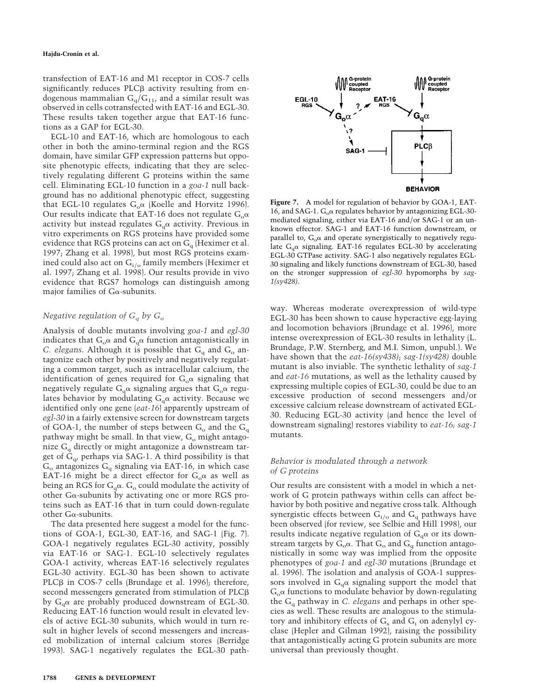transfection of EAT-16 and M1 receptor in COS-7 cells significantly reduces  $PLC\beta$  activity resulting from endogenous mammalian  $G_q/G_{11}$ , and a similar result was observed in cells cotransfected with EAT-16 and EGL-30. These results taken together argue that EAT-16 functions as a GAP for EGL-30.

EGL-10 and EAT-16, which are homologous to each other in both the amino-terminal region and the RGS domain, have similar GFP expression patterns but opposite phenotypic effects, indicating that they are selectively regulating different G proteins within the same cell. Eliminating EGL-10 function in a *goa-1* null background has no additional phenotypic effect, suggesting that EGL-10 regulates  $G_0\alpha$  (Koelle and Horvitz 1996). Our results indicate that EAT-16 does not regulate  $G_0\alpha$ activity but instead regulates  $G_q\alpha$  activity. Previous in vitro experiments on RGS proteins have provided some evidence that RGS proteins can act on  $G<sub>q</sub>$  (Heximer et al. 1997; Zhang et al. 1998), but most RGS proteins examined could also act on  $G_i$ <sub>l</sub> family members (Heximer et al. 1997; Zhang et al. 1998). Our results provide in vivo evidence that RGS7 homologs can distinguish among major families of  $G\alpha$ -subunits.

## *Negative regulation of Gq by Go*

Analysis of double mutants involving *goa-1* and *egl-30* indicates that  $G_0\alpha$  and  $G_q\alpha$  function antagonistically in *C. elegans.* Although it is possible that  $G_q$  and  $G_q$  antagonize each other by positively and negatively regulating a common target, such as intracellular calcium, the identification of genes required for  $G_0\alpha$  signaling that negatively regulate  $G_q\alpha$  signaling argues that  $G_{\alpha}\alpha$  regulates behavior by modulating  $G_q\alpha$  activity. Because we identified only one gene (*eat-16*) apparently upstream of *egl-30* in a fairly extensive screen for downstream targets of GOA-1, the number of steps between  $G_0$  and the  $G_q$ pathway might be small. In that view,  $G<sub>o</sub>$  might antagonize  $G_q$  directly or might antagonize a downstream target of  $\tilde{G}_{q}$ , perhaps via SAG-1. A third possibility is that  $G<sub>o</sub>$  antagonizes  $G<sub>q</sub>$  signaling via EAT-16, in which case EAT-16 might be a direct effector for  $G_0\alpha$  as well as being an RGS for  $G_q\alpha$ .  $G_q$  could modulate the activity of other Ga-subunits by activating one or more RGS proteins such as EAT-16 that in turn could down-regulate other  $G\alpha$ -subunits.

The data presented here suggest a model for the functions of GOA-1, EGL-30, EAT-16, and SAG-1 (Fig. 7). GOA-1 negatively regulates EGL-30 activity, possibly via EAT-16 or SAG-1. EGL-10 selectively regulates GOA-1 activity, whereas EAT-16 selectively regulates EGL-30 activity. EGL-30 has been shown to activate PLC $\beta$  in COS-7 cells (Brundage et al. 1996); therefore, second messengers generated from stimulation of PLC $\beta$ by  $G_q\alpha$  are probably produced downstream of EGL-30. Reducing EAT-16 function would result in elevated levels of active EGL-30 subunits, which would in turn result in higher levels of second messengers and increased mobilization of internal calcium stores (Berridge 1993). SAG-1 negatively regulates the EGL-30 path-



**Figure 7.** A model for regulation of behavior by GOA-1, EAT-16, and SAG-1.  $G_0\alpha$  regulates behavior by antagonizing EGL-30mediated signaling, either via EAT-16 and/or SAG-1 or an unknown effector. SAG-1 and EAT-16 function downstream, or parallel to,  $G_0\alpha$  and operate synergistically to negatively regulate  $G_0\alpha$  signaling. EAT-16 regulates EGL-30 by accelerating EGL-30 GTPase activity. SAG-1 also negatively regulates EGL-30 signaling and likely functions downstream of EGL-30, based on the stronger suppression of *egl-30* hypomorphs by *sag-1(sy428)*.

way. Whereas moderate overexpression of wild-type EGL-30 has been shown to cause hyperactive egg-laying and locomotion behaviors (Brundage et al. 1996), more intense overexpression of EGL-30 results in lethality (L. Brundage, P.W. Sternberg, and M.I. Simon, unpubl.). We have shown that the *eat-16(sy438)*; *sag-1(sy428)* double mutant is also inviable. The synthetic lethality of *sag-1* and *eat-16* mutations, as well as the lethality caused by expressing multiple copies of EGL-30, could be due to an excessive production of second messengers and/or excessive calcium release downstream of activated EGL-30. Reducing EGL-30 activity (and hence the level of downstream signaling) restores viability to *eat-16; sag-1* mutants.

# *Behavior is modulated through a network of G proteins*

Our results are consistent with a model in which a network of G protein pathways within cells can affect behavior by both positive and negative cross talk. Although synergistic effects between  $G_i$ <sub>o</sub> and  $G_q$  pathways have been observed (for review, see Selbie and Hill 1998), our results indicate negative regulation of  $G_q\alpha$  or its downstream targets by  $G_0\alpha$ . That  $G_0$  and  $G_q$  function antagonistically in some way was implied from the opposite phenotypes of *goa-1* and *egl-30* mutations (Brundage et al. 1996). The isolation and analysis of GOA-1 suppressors involved in  $G_q\alpha$  signaling support the model that  $G_0\alpha$  functions to modulate behavior by down-regulating the Gq pathway in *C. elegans* and perhaps in other species as well. These results are analogous to the stimulatory and inhibitory effects of  $G_s$  and  $G_i$  on adenylyl cyclase (Hepler and Gilman 1992), raising the possibility that antagonistically acting G protein subunits are more universal than previously thought.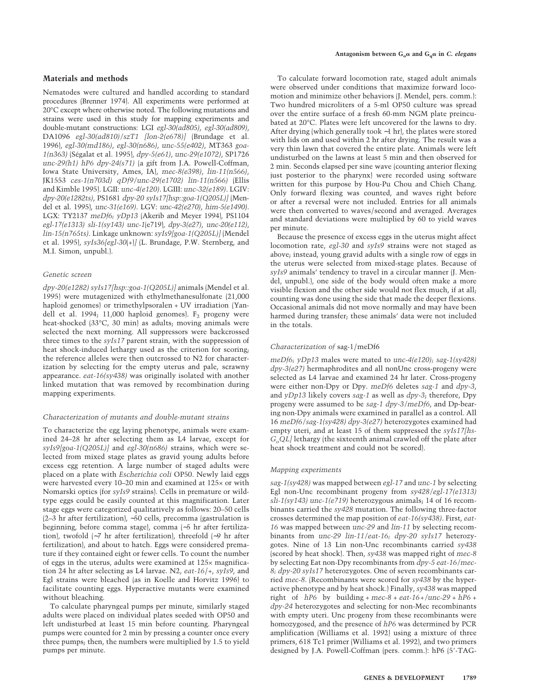## **Materials and methods**

Nematodes were cultured and handled according to standard procedures (Brenner 1974). All experiments were performed at 20°C except where otherwise noted. The following mutations and strains were used in this study for mapping experiments and double-mutant constructions: LGI *egl-30(ad805)*, *egl-30(ad809)*, DA1096 *egl-30(ad810)/szT1 [lon-2(e678)]* (Brundage et al. 1996), *egl-30(md186)*, *egl-30(n686)*, *unc-55(e402)*, MT363 *goa-1(n363)* (Se´galat et al. 1995), *dpy-5(e61)*, *unc-29(e1072)*, SP1726 *unc-29(h1) hP6 dpy-24(s71)* (a gift from J.A. Powell-Coffman, Iowa State University, Ames, IA), *mec-8(e398)*, *lin-11(n566)*, JK1553 *ces-1(n703d) qDf9/unc-29(e1702) lin-11(n566)* (Ellis and Kimble 1995). LGII: *unc-4(e120)*. LGIII: *unc-32(e189)*. LGIV: *dpy-20(e1282ts)*, PS1681 *dpy-20 syIs17[hsp::goa-1(Q205L)]* (Mendel et al. 1995), *unc-31(e169)*. LGV: *unc-42(e270)*, *him-5(e1490)*. LGX: TY2137 *meDf6; yDp13* (Akerib and Meyer 1994), PS1104 *egl-17(e1313) sli-1(sy143) unc-1*(e719), *dpy-3(e27)*, *unc-20(e112)*, *lin-15(n765ts)*. Linkage unknown: *syIs9[goa-1(Q205L)]* (Mendel et al. 1995), *syIs36[egl-30*(+)*]* (L. Brundage, P.W. Sternberg, and M.I. Simon, unpubl.).

## *Genetic screen*

*dpy-20(e1282) syIs17[hsp::goa-1(Q205L)]* animals (Mendel et al. 1995) were mutagenized with ethylmethanesulfonate (21,000 haploid genomes) or trimethylpsoralen + UV irradiation (Yandell et al. 1994; 11,000 haploid genomes).  $F<sub>2</sub>$  progeny were heat-shocked (33°C, 30 min) as adults; moving animals were selected the next morning. All suppressors were backcrossed three times to the *syIs17* parent strain, with the suppression of heat shock-induced lethargy used as the criterion for scoring; the reference alleles were then outcrossed to N2 for characterization by selecting for the empty uterus and pale, scrawny appearance. *eat-16(sy438)* was originally isolated with another linked mutation that was removed by recombination during mapping experiments.

## *Characterization of mutants and double-mutant strains*

To characterize the egg laying phenotype, animals were examined 24–28 hr after selecting them as L4 larvae, except for *syIs9[goa-1(Q205L)]* and *egl-30(n686)* strains, which were selected from mixed stage plates as gravid young adults before excess egg retention. A large number of staged adults were placed on a plate with *Escherichia coli* OP50. Newly laid eggs were harvested every 10–20 min and examined at 125× or with Nomarski optics (for *syIs9* strains). Cells in premature or wildtype eggs could be easily counted at this magnification. Later stage eggs were categorized qualitatively as follows: 20–50 cells (2–3 hr after fertilization), ∼50 cells, precomma (gastrulation is beginning, before comma stage), comma (∼5 hr after fertilization), twofold (∼7 hr after fertilization), threefold (∼9 hr after fertilization), and about to hatch. Eggs were considered premature if they contained eight or fewer cells. To count the number of eggs in the uterus, adults were examined at 125× magnification 24 hr after selecting as L4 larvae. N2, *eat-16*/+, *syIs9*, and Egl strains were bleached (as in Koelle and Horvitz 1996) to facilitate counting eggs. Hyperactive mutants were examined without bleaching.

To calculate pharyngeal pumps per minute, similarly staged adults were placed on individual plates seeded with OP50 and left undisturbed at least 15 min before counting. Pharyngeal pumps were counted for 2 min by pressing a counter once every three pumps; then, the numbers were multiplied by 1.5 to yield pumps per minute.

To calculate forward locomotion rate, staged adult animals were observed under conditions that maximize forward locomotion and minimize other behaviors (J. Mendel, pers. comm.): Two hundred microliters of a 5-ml OP50 culture was spread over the entire surface of a fresh 60-mm NGM plate preincubated at 20°C. Plates were left uncovered for the lawns to dry. After drying (which generally took ∼1 hr), the plates were stored with lids on and used within 2 hr after drying. The result was a very thin lawn that covered the entire plate. Animals were left undisturbed on the lawns at least 5 min and then observed for 2 min. Seconds elapsed per sine wave (counting anterior flexing just posterior to the pharynx) were recorded using software written for this purpose by Hou-Pu Chou and Chieh Chang. Only forward flexing was counted, and waves right before or after a reversal were not included. Entries for all animals were then converted to waves/second and averaged. Averages and standard deviations were multiplied by 60 to yield waves per minute.

Because the presence of excess eggs in the uterus might affect locomotion rate, *egl-30* and *syIs9* strains were not staged as above; instead, young gravid adults with a single row of eggs in the uterus were selected from mixed-stage plates. Because of *syIs9* animals' tendency to travel in a circular manner (J. Mendel, unpubl.), one side of the body would often make a more visible flexion and the other side would not flex much, if at all; counting was done using the side that made the deeper flexions. Occasional animals did not move normally and may have been harmed during transfer; these animals' data were not included in the totals.

#### *Characterization of* sag-1/meDf6

*meDf6; yDp13* males were mated to *unc-4(e120); sag-1(sy428) dpy-3(e27)* hermaphrodites and all nonUnc cross-progeny were selected as L4 larvae and examined 24 hr later. Cross-progeny were either non-Dpy or Dpy. *meDf6* deletes *sag-1* and *dpy-3*, and *yDp13* likely covers *sag-1* as well as *dpy-3*; therefore, Dpy progeny were assumed to be *sag-1 dpy-3/meDf6*, and Dp-bearing non-Dpy animals were examined in parallel as a control. All 16 *meDf6/sag-1(sy428) dpy-3(e27)* heterozygotes examined had empty uteri, and at least 15 of them suppressed the *syIs17[hs-GoQL]* lethargy (the sixteenth animal crawled off the plate after heat shock treatment and could not be scored).

#### *Mapping experiments*

*sag-1(sy428)* was mapped between *egl-17* and *unc-1* by selecting Egl non-Unc recombinant progeny from *sy428/egl-17(e1313) sli-1(sy143) unc-1(e719)* heterozygous animals; 14 of 16 recombinants carried the *sy428* mutation. The following three-factor crosses determined the map position of *eat-16(sy438)*. First, *eat-16* was mapped between *unc-29* and *lin-11* by selecting recombinants from *unc-29 lin-11/eat-16; dpy-20 syIs17* heterozygotes. Nine of 13 Lin non-Unc recombinants carried *sy438* (scored by heat shock). Then, *sy438* was mapped right of *mec-8* by selecting Eat non-Dpy recombinants from *dpy-5 eat-16/mec-8; dpy-20 syIs17* heterozygotes. One of seven recombinants carried *mec-8*. (Recombinants were scored for *sy438* by the hyperactive phenotype and by heat shock.) Finally, *sy438* was mapped right of *hP6* by building + *mec-8* + *eat-16+/unc-29* + *hP6* + *dpy-24* heterozygotes and selecting for non-Mec recombinants with empty uteri. Unc progeny from these recombinants were homozygosed, and the presence of *hP6* was determined by PCR amplification (Williams et al. 1992) using a mixture of three primers, 618 Tc1 primer (Williams et al. 1992), and two primers designed by J.A. Powell-Coffman (pers. comm.): hP6 (5'-TAG-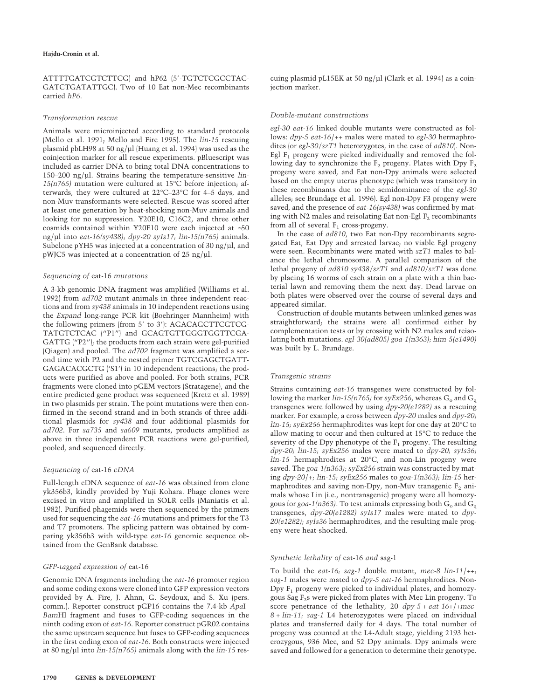## **Hajdu-Cronin et al.**

ATTTTGATCGTCTTCG) and hP62 (5'-TGTCTCGCCTAC-GATCTGATATTGC). Two of 10 Eat non-Mec recombinants carried *hP6*.

#### *Transformation rescue*

Animals were microinjected according to standard protocols (Mello et al. 1991; Mello and Fire 1995). The *lin-15* rescuing plasmid pbLH98 at 50 ng/µl (Huang et al. 1994) was used as the coinjection marker for all rescue experiments. pBluescript was included as carrier DNA to bring total DNA concentrations to 150–200 ng/µl. Strains bearing the temperature-sensitive *lin-15(n765)* mutation were cultured at 15°C before injection; afterwards, they were cultured at 22°C–23°C for 4–5 days, and non-Muv transformants were selected. Rescue was scored after at least one generation by heat-shocking non-Muv animals and looking for no suppression. Y20E10, C16C2, and three other cosmids contained within Y20E10 were each injected at ∼50 ng/µl into *eat-16(sy438); dpy-20 syIs17; lin-15(n765)* animals. Subclone pYH5 was injected at a concentration of 30 ng/µl, and pWJC5 was injected at a concentration of 25 ng/µl.

#### *Sequencing of* eat-16 *mutations*

A 3-kb genomic DNA fragment was amplified (Williams et al. 1992) from *ad702* mutant animals in three independent reactions and from *sy438* animals in 10 independent reactions using the *Expand* long-range PCR kit (Boehringer Mannheim) with the following primers (from 5' to 3'): AGACAGCTTCGTCG-TATGTCTCAC ("P1") and GCAGTGTTGGGTGGTTCGA-GATTG ("P2"); the products from each strain were gel-purified (Qiagen) and pooled. The *ad702* fragment was amplified a second time with P2 and the nested primer TGTCGAGCTGATT-GAGACACGCTG ('S1') in 10 independent reactions; the products were purified as above and pooled. For both strains, PCR fragments were cloned into pGEM vectors (Stratagene), and the entire predicted gene product was sequenced (Kretz et al. 1989) in two plasmids per strain. The point mutations were then confirmed in the second strand and in both strands of three additional plasmids for *sy438* and four additional plasmids for *ad702*. For *sa735* and *sa609* mutants, products amplified as above in three independent PCR reactions were gel-purified, pooled, and sequenced directly.

#### *Sequencing of* eat-16 *cDNA*

Full-length cDNA sequence of *eat-16* was obtained from clone yk356b3, kindly provided by Yuji Kohara. Phage clones were excised in vitro and amplified in SOLR cells (Maniatis et al. 1982). Purified phagemids were then sequenced by the primers used for sequencing the *eat-16* mutations and primers for the T3 and T7 promoters. The splicing pattern was obtained by comparing yk356b3 with wild-type *eat-16* genomic sequence obtained from the GenBank database.

## *GFP-tagged expression of* eat-16

Genomic DNA fragments including the *eat-16* promoter region and some coding exons were cloned into GFP expression vectors provided by A. Fire, J. Ahnn, G. Seydoux, and S. Xu (pers. comm.). Reporter construct pGP16 contains the 7.4-kb *Apa*I– *Bam*HI fragment and fuses to GFP-coding sequences in the ninth coding exon of *eat-16*. Reporter construct pGR02 contains the same upstream sequence but fuses to GFP-coding sequences in the first coding exon of *eat-16*. Both constructs were injected at 80 ng/µl into *lin-15(n765)* animals along with the *lin-15* res-

cuing plasmid pL15EK at 50 ng/µl (Clark et al. 1994) as a coinjection marker.

#### *Double-mutant constructions*

*egl-30 eat-16* linked double mutants were constructed as follows: *dpy-5 eat-16*/++ males were mated to *egl-30* hermaphrodites (or *egl-30/szT1* heterozygotes, in the case of *ad810*). Non-Egl  $F_1$  progeny were picked individually and removed the following day to synchronize the  $F_2$  progeny. Plates with Dpy  $F_2$ progeny were saved, and Eat non-Dpy animals were selected based on the empty uterus phenotype (which was transitory in these recombinants due to the semidominance of the *egl-30* alleles; see Brundage et al. 1996). Egl non-Dpy F3 progeny were saved, and the presence of *eat-16(sy438)* was confirmed by mating with N2 males and reisolating Eat non-Egl  $F<sub>2</sub>$  recombinants from all of several  $F_1$  cross-progeny.

In the case of *ad810*, two Eat non-Dpy recombinants segregated Eat, Eat Dpy and arrested larvae; no viable Egl progeny were seen. Recombinants were mated with *szT1* males to balance the lethal chromosome. A parallel comparison of the lethal progeny of *ad810 sy438/szT1* and *ad810/szT1* was done by placing 16 worms of each strain on a plate with a thin bacterial lawn and removing them the next day. Dead larvae on both plates were observed over the course of several days and appeared similar.

Construction of double mutants between unlinked genes was straightforward; the strains were all confirmed either by complementation tests or by crossing with N2 males and reisolating both mutations. *egl-30(ad805) goa-1(n363); him-5(e1490)* was built by L. Brundage.

## *Transgenic strains*

Strains containing *eat-16* transgenes were constructed by following the marker  $\lim_{15}$  (n765) for *syEx256*, whereas  $G_0$  and  $G_q$ transgenes were followed by using *dpy-20(e1282)* as a rescuing marker. For example, a cross between *dpy-20* males and *dpy-20; lin-15; syEx256* hermaphrodites was kept for one day at 20°C to allow mating to occur and then cultured at 15°C to reduce the severity of the Dpy phenotype of the  $F_1$  progeny. The resulting *dpy-20; lin-15; syEx256* males were mated to *dpy-20; syIs36; lin-15* hermaphrodites at 20°C, and non-Lin progeny were saved. The *goa-1(n363); syEx256* strain was constructed by mating *dpy-20*/+*; lin-15; syEx256* males to *goa-1(n363); lin-15* hermaphrodites and saving non-Dpy, non-Muv transgenic  $F_2$  animals whose Lin (i.e., nontransgenic) progeny were all homozygous for *goa-1(n363)*. To test animals expressing both  $G_0$  and  $G_q$ transgenes, *dpy-20(e1282) syIs17* males were mated to *dpy-20(e1282); syIs36* hermaphrodites, and the resulting male progeny were heat-shocked.

## *Synthetic lethality of* eat-16 *and* sag-1

To build the *eat-16; sag-1* double mutant, *mec-8 lin-11*/++*; sag-1* males were mated to *dpy-5 eat-16* hermaphrodites. Non-Dpy  $F_1$  progeny were picked to individual plates, and homozygous Sag  $F_2$ s were picked from plates with Mec Lin progeny. To score penetrance of the lethality, 20 *dpy-5* + *eat-16*+/+*mec-8* + *lin-11; sag-1* L4 heterozygotes were placed on individual plates and transferred daily for 4 days. The total number of progeny was counted at the L4-Adult stage, yielding 2193 heterozygous, 936 Mec, and 52 Dpy animals. Dpy animals were saved and followed for a generation to determine their genotype.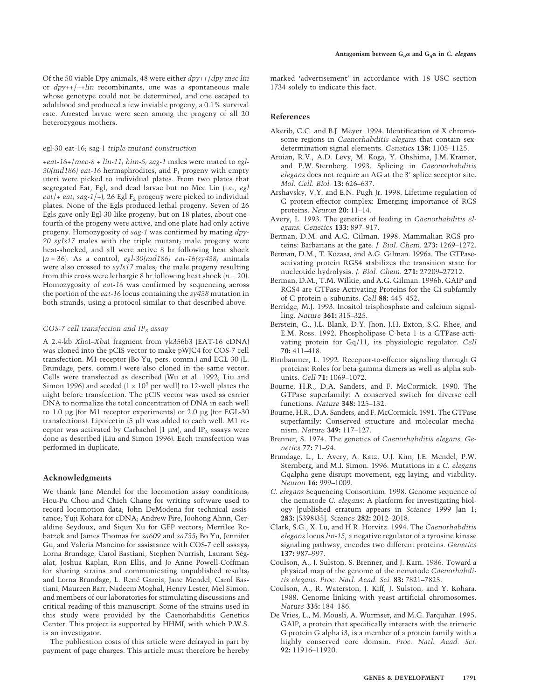Of the 50 viable Dpy animals, 48 were either *dpy*++/*dpy mec lin* or *dpy*++/++*lin* recombinants, one was a spontaneous male whose genotype could not be determined, and one escaped to adulthood and produced a few inviable progeny, a 0.1% survival rate. Arrested larvae were seen among the progeny of all 20 heterozygous mothers.

#### egl-30 eat-16; sag-1 *triple-mutant construction*

+*eat-16*+/*mec-8* + *lin-11; him-5; sag-1* males were mated to *egl-*30(md186) eat-16 hermaphrodites, and F<sub>1</sub> progeny with empty uteri were picked to individual plates. From two plates that segregated Eat, Egl, and dead larvae but no Mec Lin (i.e., *egl*  $eat$  + *eat*; sag-1/+), 26 Egl  $F_2$  progeny were picked to individual plates. None of the Egls produced lethal progeny. Seven of 26 Egls gave only Egl-30-like progeny, but on 18 plates, about onefourth of the progeny were active, and one plate had only active progeny. Homozygosity of *sag-1* was confirmed by mating *dpy-20 syIs17* males with the triple mutant; male progeny were heat-shocked, and all were active 8 hr following heat shock (*n* = 36). As a control, *egl-30(md186) eat-16(sy438)* animals were also crossed to *syIs17* males; the male progeny resulting from this cross were lethargic 8 hr following heat shock (*n* = 20). Homozygosity of *eat-16* was confirmed by sequencing across the portion of the *eat-16* locus containing the *sy438* mutation in both strands, using a protocol similar to that described above.

#### *COS-7 cell transfection and IP3 assay*

A 2.4-kb *Xho*I–*Xba*I fragment from yk356b3 (EAT-16 cDNA) was cloned into the pCIS vector to make pWJC4 for COS-7 cell transfection. M1 receptor (Bo Yu, pers. comm.) and EGL-30 (L. Brundage, pers. comm.) were also cloned in the same vector. Cells were transfected as described (Wu et al. 1992; Liu and Simon 1996) and seeded  $(1 \times 10^5$  per well) to 12-well plates the night before transfection. The pCIS vector was used as carrier DNA to normalize the total concentration of DNA in each well to 1.0 µg (for M1 receptor experiments) or 2.0 µg (for EGL-30 transfections). Lipofectin (5 µl) was added to each well. M1 receptor was activated by Carbachol  $(1 \mu M)$ , and IP<sub>3</sub> assays were done as described (Liu and Simon 1996). Each transfection was performed in duplicate.

#### **Acknowledgments**

We thank Jane Mendel for the locomotion assay conditions; Hou-Pu Chou and Chieh Chang for writing software used to record locomotion data; John DeModena for technical assistance; Yuji Kohara for cDNA; Andrew Fire, Joohong Ahnn, Geraldine Seydoux, and Siqun Xu for GFP vectors; Merrilee Robatzek and James Thomas for *sa609* and *sa735*; Bo Yu, Jennifer Gu, and Valeria Mancino for assistance with COS-7 cell assays; Lorna Brundage, Carol Bastiani, Stephen Nurrish, Laurant Ségalat, Joshua Kaplan, Ron Ellis, and Jo Anne Powell-Coffman for sharing strains and communicating unpublished results; and Lorna Brundage, L. René Garcia, Jane Mendel, Carol Bastiani, Maureen Barr, Nadeem Moghal, Henry Lester, Mel Simon, and members of our laboratories for stimulating discussions and critical reading of this manuscript. Some of the strains used in this study were provided by the Caenorhabditis Genetics Center. This project is supported by HHMI, with which P.W.S. is an investigator.

The publication costs of this article were defrayed in part by payment of page charges. This article must therefore be hereby marked 'advertisement' in accordance with 18 USC section 1734 solely to indicate this fact.

## **References**

- Akerib, C.C. and B.J. Meyer. 1994. Identification of X chromosome regions in *Caenorhabditis elegans* that contain sexdetermination signal elements. *Genetics* **138:** 1105–1125.
- Aroian, R.V., A.D. Levy, M. Koga, Y. Ohshima, J.M. Kramer, and P.W. Sternberg. 1993. Splicing in *Caeonorhabditis elegans* does not require an AG at the 3' splice acceptor site. *Mol. Cell. Biol.* **13:** 626–637.
- Arshavsky, V.Y. and E.N. Pugh Jr. 1998. Lifetime regulation of G protein-effector complex: Emerging importance of RGS proteins. *Neuron* **20:** 11–14.
- Avery, L. 1993. The genetics of feeding in *Caenorhabditis elegans. Genetics* **133:** 897–917.
- Berman, D.M. and A.G. Gilman. 1998. Mammalian RGS proteins: Barbarians at the gate. *J. Biol. Chem.* **273:** 1269–1272.
- Berman, D.M., T. Kozasa, and A.G. Gilman. 1996a. The GTPaseactivating protein RGS4 stabilizes the transition state for nucleotide hydrolysis. *J. Biol. Chem.* **271:** 27209–27212.
- Berman, D.M., T.M. Wilkie, and A.G. Gilman. 1996b. GAIP and RGS4 are GTPase-Activating Proteins for the Gi subfamily of G protein  $\alpha$  subunits. *Cell* 88: 445–452.
- Berridge, M.J. 1993. Inositol trisphosphate and calcium signalling. *Nature* **361:** 315–325.
- Berstein, G., J.L. Blank, D.Y. Jhon, J.H. Exton, S.G. Rhee, and E.M. Ross. 1992. Phospholipase C-beta 1 is a GTPase-activating protein for Gq/11, its physiologic regulator. *Cell* **70:** 411–418.
- Birnbaumer, L. 1992. Receptor-to-effector signaling through G proteins: Roles for beta gamma dimers as well as alpha subunits. *Cell* **71:** 1069–1072.
- Bourne, H.R., D.A. Sanders, and F. McCormick. 1990. The GTPase superfamily: A conserved switch for diverse cell functions. *Nature* **348:** 125–132.
- Bourne, H.R., D.A. Sanders, and F. McCormick. 1991. The GTPase superfamily: Conserved structure and molecular mechanism. *Nature* **349:** 117–127.
- Brenner, S. 1974. The genetics of *Caenorhabditis elegans. Genetics* **77:** 71–94.
- Brundage, L., L. Avery, A. Katz, U.J. Kim, J.E. Mendel, P.W. Sternberg, and M.I. Simon. 1996. Mutations in a *C. elegans* Gqalpha gene disrupt movement, egg laying, and viability. *Neuron* **16:** 999–1009.
- *C. elegans* Sequencing Consortium. 1998. Genome sequence of the nematode *C. elegans*: A platform for investigating biology [published erratum appears in *Science* 1999 Jan 1; **283:** (5398)35]. *Science* **282:** 2012–2018.
- Clark, S.G., X. Lu, and H.R. Horvitz. 1994. The *Caenorhabditis elegans* locus *lin-15*, a negative regulator of a tyrosine kinase signaling pathway, encodes two different proteins. *Genetics* **137:** 987–997.
- Coulson, A., J. Sulston, S. Brenner, and J. Karn. 1986. Toward a physical map of the genome of the nematode *Caenorhabditis elegans. Proc. Natl. Acad. Sci.* **83:** 7821–7825.
- Coulson, A., R. Waterston, J. Kiff, J. Sulston, and Y. Kohara. 1988. Genome linking with yeast artificial chromosomes. *Nature* **335:** 184–186.
- De Vries, L., M. Mousli, A. Wurmser, and M.G. Farquhar. 1995. GAIP, a protein that specifically interacts with the trimeric G protein G alpha i3, is a member of a protein family with a highly conserved core domain. *Proc. Natl. Acad. Sci.* **92:** 11916–11920.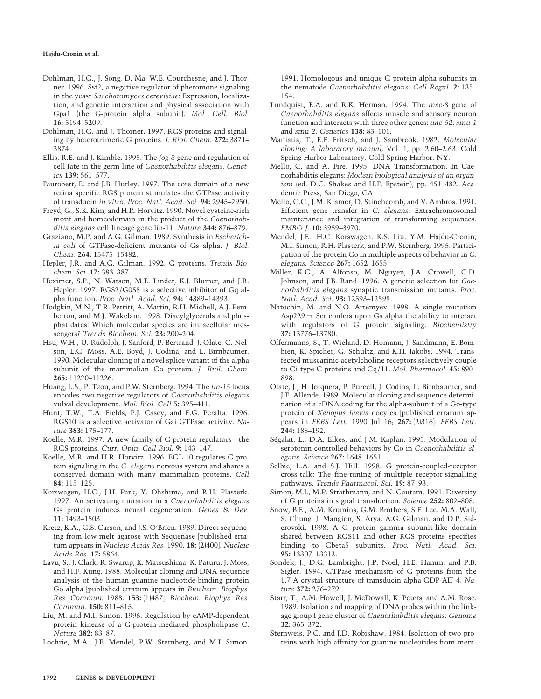#### **Hajdu-Cronin et al.**

- Dohlman, H.G., J. Song, D. Ma, W.E. Courchesne, and J. Thorner. 1996. Sst2, a negative regulator of pheromone signaling in the yeast *Saccharomyces cerevisiae*: Expression, localization, and genetic interaction and physical association with Gpa1 (the G-protein alpha subunit). *Mol. Cell. Biol.* **16:** 5194–5209.
- Dohlman, H.G. and J. Thorner. 1997. RGS proteins and signaling by heterotrimeric G proteins. *J. Biol. Chem.* **272:** 3871– 3874.
- Ellis, R.E. and J. Kimble. 1995. The *fog-3* gene and regulation of cell fate in the germ line of *Caenorhabditis elegans. Genetics* **139:** 561–577.
- Faurobert, E. and J.B. Hurley. 1997. The core domain of a new retina specific RGS protein stimulates the GTPase activity of transducin *in vitro. Proc. Natl. Acad. Sci.* **94:** 2945–2950.
- Freyd, G., S.K. Kim, and H.R. Horvitz. 1990. Novel cysteine-rich motif and homeodomain in the product of the *Caenorhabditis elegans* cell lineage gene lin-11. *Nature* **344:** 876–879.
- Graziano, M.P. and A.G. Gilman. 1989. Synthesis in *Escherichia coli* of GTPase-deficient mutants of Gs alpha. *J. Biol. Chem.* **264:** 15475–15482.
- Hepler, J.R. and A.G. Gilman. 1992. G proteins. *Trends Biochem. Sci.* **17:** 383–387.
- Heximer, S.P., N. Watson, M.E. Linder, K.J. Blumer, and J.R. Hepler. 1997. RGS2/G0S8 is a selective inhibitor of Gq alpha function. *Proc. Natl. Acad. Sci.* **94:** 14389–14393.
- Hodgkin, M.N., T.R. Pettitt, A. Martin, R.H. Michell, A.J. Pemberton, and M.J. Wakelam. 1998. Diacylglycerols and phosphatidates: Which molecular species are intracellular messengers? *Trends Biochem. Sci.* **23:** 200–204.
- Hsu, W.H., U. Rudolph, J. Sanford, P. Bertrand, J. Olate, C. Nelson, L.G. Moss, A.E. Boyd, J. Codina, and L. Birnbaumer. 1990. Molecular cloning of a novel splice variant of the alpha subunit of the mammalian Go protein. *J. Biol. Chem.* **265:** 11220–11226.
- Huang, L.S., P. Tzou, and P.W. Sternberg. 1994. The *lin-15* locus encodes two negative regulators of *Caenorhabditis elegans* vulval development. *Mol. Biol. Cell* **5:** 395–411.
- Hunt, T.W., T.A. Fields, P.J. Casey, and E.G. Peralta. 1996. RGS10 is a selective activator of Gai GTPase activity. *Nature* **383:** 175–177.
- Koelle, M.R. 1997. A new family of G-protein regulators—the RGS proteins. *Curr. Opin. Cell Biol.* **9:** 143–147.
- Koelle, M.R. and H.R. Horvitz. 1996. EGL-10 regulates G protein signaling in the *C. elegans* nervous system and shares a conserved domain with many mammalian proteins. *Cell* **84:** 115–125.
- Korswagen, H.C., J.H. Park, Y. Ohshima, and R.H. Plasterk. 1997. An activating mutation in a *Caenorhabditis elegans* Gs protein induces neural degeneration. *Genes* & *Dev.* **11:** 1493–1503.
- Kretz, K.A., G.S. Carson, and J.S. O'Brien. 1989. Direct sequencing from low-melt agarose with Sequenase [published erratum appears in *Nucleic Acids Res.* 1990. **18:** (2)400]. *Nucleic Acids Res.* **17:** 5864.
- Lavu, S., J. Clark, R. Swarup, K. Matsushima, K. Paturu, J. Moss, and H.F. Kung. 1988. Molecular cloning and DNA sequence analysis of the human guanine nucleotide-binding protein Go alpha [published erratum appears in *Biochem. Biophys. Res. Commun.* 1988. **153:** (1)487]. *Biochem. Biophys. Res. Commun.* **150:** 811–815.
- Liu, M. and M.I. Simon. 1996. Regulation by cAMP-dependent protein kinease of a G-protein-mediated phospholipase C. *Nature* **382:** 83–87.
- Lochrie, M.A., J.E. Mendel, P.W. Sternberg, and M.I. Simon.

1991. Homologous and unique G protein alpha subunits in the nematode *Caenorhabditis elegans. Cell Regul.* **2:** 135– 154.

- Lundquist, E.A. and R.K. Herman. 1994. The *mec-8* gene of *Caenorhabditis elegans* affects muscle and sensory neuron function and interacts with three other genes: *unc-52*, *smu-1* and *smu-2*. *Genetics* **138:** 83–101.
- Maniatis, T., E.F. Fritsch, and J. Sambrook. 1982. *Molecular cloning: A laboratory manual,* Vol. 1, pp. 2.60–2.63. Cold Spring Harbor Laboratory, Cold Spring Harbor, NY.
- Mello, C. and A. Fire. 1995. DNA Transformation. In Caenorhabditis elegans: *Modern biological analysis of an organism* (ed. D.C. Shakes and H.F. Epstein), pp. 451–482. Academic Press, San Diego, CA.
- Mello, C.C., J.M. Kramer, D. Stinchcomb, and V. Ambros. 1991. Efficient gene transfer in *C. elegans*: Extrachromosomal maintenance and integration of transforming sequences. *EMBO J.* **10:** 3959–3970.
- Mendel, J.E., H.C. Korswagen, K.S. Liu, Y.M. Hajdu-Cronin, M.I. Simon, R.H. Plasterk, and P.W. Sternberg. 1995. Participation of the protein Go in multiple aspects of behavior in *C. elegans. Science* **267:** 1652–1655.
- Miller, K.G., A. Alfonso, M. Nguyen, J.A. Crowell, C.D. Johnson, and J.B. Rand. 1996. A genetic selection for *Caenorhabditis elegans* synaptic transmission mutants. *Proc. Natl. Acad. Sci.* **93:** 12593–12598.
- Natochin, M. and N.O. Artemyev. 1998. A single mutation  $Asp229 \rightarrow Ser$  confers upon Gs alpha the ability to interact with regulators of G protein signaling. *Biochemistry* **37:** 13776–13780.
- Offermanns, S., T. Wieland, D. Homann, J. Sandmann, E. Bombien, K. Spicher, G. Schultz, and K.H. Jakobs. 1994. Transfected muscarinic acetylcholine receptors selectively couple to Gi-type G proteins and Gq/11. *Mol. Pharmacol.* **45:** 890– 898.
- Olate, J., H. Jorquera, P. Purcell, J. Codina, L. Birnbaumer, and J.E. Allende. 1989. Molecular cloning and sequence determination of a cDNA coding for the alpha-subunit of a Go-type protein of *Xenopus laevis* oocytes [published erratum appears in *FEBS Lett.* 1990 Jul 16; **267:** (2)316]. *FEBS Lett.* **244:** 188–192.
- Ségalat, L., D.A. Elkes, and J.M. Kaplan. 1995. Modulation of serotonin-controlled behaviors by Go in *Caenorhabditis elegans. Science* **267:** 1648–1651.
- Selbie, L.A. and S.J. Hill. 1998. G protein-coupled-receptor cross-talk: The fine-tuning of multiple receptor-signalling pathways. *Trends Pharmacol. Sci.* **19:** 87–93.
- Simon, M.I., M.P. Strathmann, and N. Gautam. 1991. Diversity of G proteins in signal transduction. *Science* **252:** 802–808.
- Snow, B.E., A.M. Krumins, G.M. Brothers, S.F. Lee, M.A. Wall, S. Chung, J. Mangion, S. Arya, A.G. Gilman, and D.P. Siderovski. 1998. A G protein gamma subunit-like domain shared between RGS11 and other RGS proteins specifies binding to Gbeta5 subunits. *Proc. Natl. Acad. Sci.* **95:** 13307–13312.
- Sondek, J., D.G. Lambright, J.P. Noel, H.E. Hamm, and P.B. Sigler. 1994. GTPase mechanism of G proteins from the 1.7-A crystal structure of transducin alpha-GDP-AIF-4. *Nature* **372:** 276–279.
- Starr, T., A.M. Howell, J. McDowall, K. Peters, and A.M. Rose. 1989. Isolation and mapping of DNA probes within the linkage group I gene cluster of *Caenorhabditis elegans. Genome* **32:** 365–372.
- Sternweis, P.C. and J.D. Robishaw. 1984. Isolation of two proteins with high affinity for guanine nucleotides from mem-